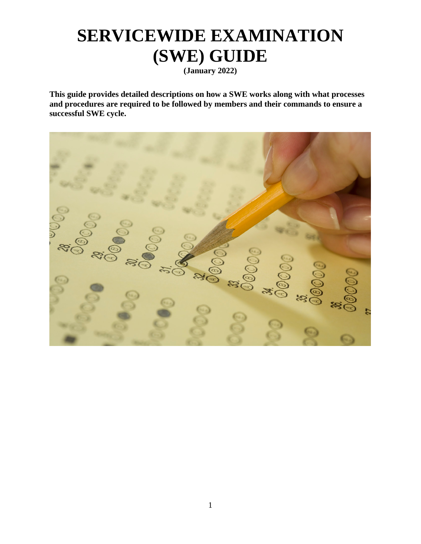# **SERVICEWIDE EXAMINATION (SWE) GUIDE**

**(January 2022)**

**This guide provides detailed descriptions on how a SWE works along with what processes and procedures are required to be followed by members and their commands to ensure a successful SWE cycle.** 

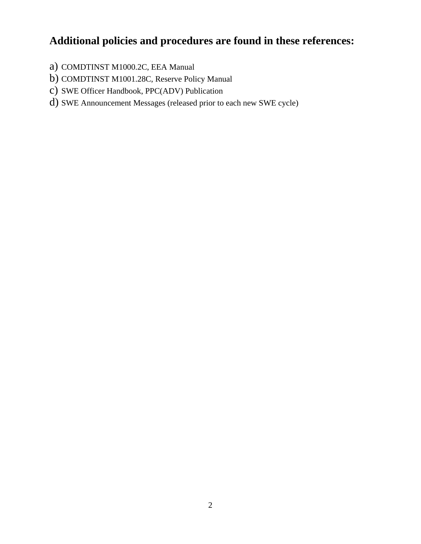### **Additional policies and procedures are found in these references:**

- a) COMDTINST M1000.2C, EEA Manual
- b) COMDTINST M1001.28C, Reserve Policy Manual
- c) SWE Officer Handbook, PPC(ADV) Publication
- d) SWE Announcement Messages (released prior to each new SWE cycle)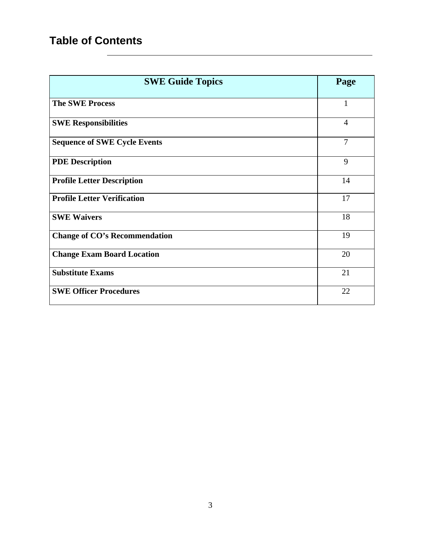# **Table of Contents**

| <b>SWE Guide Topics</b>              | Page           |
|--------------------------------------|----------------|
| <b>The SWE Process</b>               |                |
| <b>SWE Responsibilities</b>          | $\overline{4}$ |
| <b>Sequence of SWE Cycle Events</b>  | 7              |
| <b>PDE Description</b>               | 9              |
| <b>Profile Letter Description</b>    | 14             |
| <b>Profile Letter Verification</b>   | 17             |
| <b>SWE Waivers</b>                   | 18             |
| <b>Change of CO's Recommendation</b> | 19             |
| <b>Change Exam Board Location</b>    | 20             |
| <b>Substitute Exams</b>              | 21             |
| <b>SWE Officer Procedures</b>        | 22             |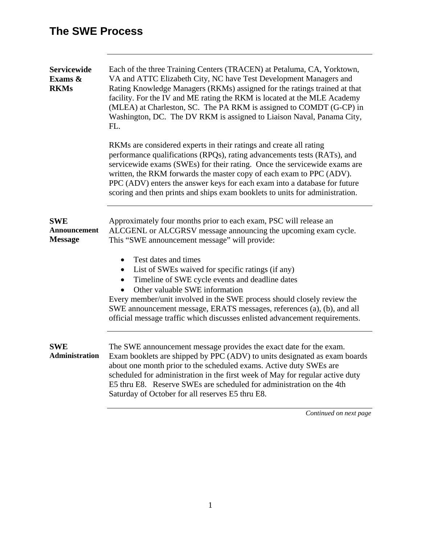| <b>Servicewide</b><br>Exams &<br><b>RKMs</b> | Each of the three Training Centers (TRACEN) at Petaluma, CA, Yorktown,<br>VA and ATTC Elizabeth City, NC have Test Development Managers and<br>Rating Knowledge Managers (RKMs) assigned for the ratings trained at that<br>facility. For the IV and ME rating the RKM is located at the MLE Academy<br>(MLEA) at Charleston, SC. The PA RKM is assigned to COMDT (G-CP) in<br>Washington, DC. The DV RKM is assigned to Liaison Naval, Panama City,<br>FL.                                                                                                                                                                       |  |  |  |  |
|----------------------------------------------|-----------------------------------------------------------------------------------------------------------------------------------------------------------------------------------------------------------------------------------------------------------------------------------------------------------------------------------------------------------------------------------------------------------------------------------------------------------------------------------------------------------------------------------------------------------------------------------------------------------------------------------|--|--|--|--|
|                                              | RKMs are considered experts in their ratings and create all rating<br>performance qualifications (RPQs), rating advancements tests (RATs), and<br>servicewide exams (SWEs) for their rating. Once the servicewide exams are<br>written, the RKM forwards the master copy of each exam to PPC (ADV).<br>PPC (ADV) enters the answer keys for each exam into a database for future<br>scoring and then prints and ships exam booklets to units for administration.                                                                                                                                                                  |  |  |  |  |
| <b>SWE</b><br>Announcement<br><b>Message</b> | Approximately four months prior to each exam, PSC will release an<br>ALCGENL or ALCGRSV message announcing the upcoming exam cycle.<br>This "SWE announcement message" will provide:<br>Test dates and times<br>$\bullet$<br>List of SWEs waived for specific ratings (if any)<br>$\bullet$<br>Timeline of SWE cycle events and deadline dates<br>$\bullet$<br>Other valuable SWE information<br>Every member/unit involved in the SWE process should closely review the<br>SWE announcement message, ERATS messages, references (a), (b), and all<br>official message traffic which discusses enlisted advancement requirements. |  |  |  |  |
| <b>SWE</b><br><b>Administration</b>          | The SWE announcement message provides the exact date for the exam.<br>Exam booklets are shipped by PPC (ADV) to units designated as exam boards<br>about one month prior to the scheduled exams. Active duty SWEs are<br>scheduled for administration in the first week of May for regular active duty<br>E5 thru E8. Reserve SWEs are scheduled for administration on the 4th<br>Saturday of October for all reserves E5 thru E8.                                                                                                                                                                                                |  |  |  |  |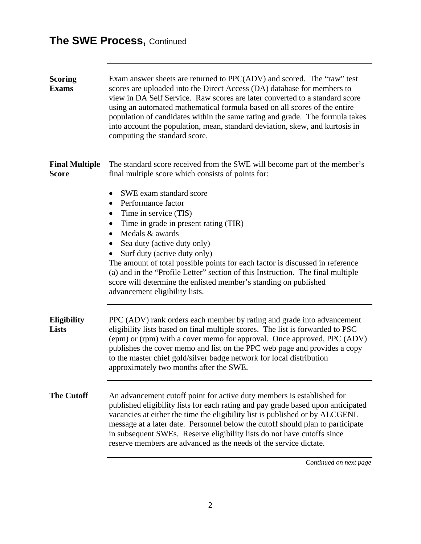| <b>Scoring</b><br><b>Exams</b>        | Exam answer sheets are returned to PPC(ADV) and scored. The "raw" test<br>scores are uploaded into the Direct Access (DA) database for members to<br>view in DA Self Service. Raw scores are later converted to a standard score<br>using an automated mathematical formula based on all scores of the entire<br>population of candidates within the same rating and grade. The formula takes<br>into account the population, mean, standard deviation, skew, and kurtosis in<br>computing the standard score.                       |
|---------------------------------------|--------------------------------------------------------------------------------------------------------------------------------------------------------------------------------------------------------------------------------------------------------------------------------------------------------------------------------------------------------------------------------------------------------------------------------------------------------------------------------------------------------------------------------------|
| <b>Final Multiple</b><br><b>Score</b> | The standard score received from the SWE will become part of the member's<br>final multiple score which consists of points for:                                                                                                                                                                                                                                                                                                                                                                                                      |
|                                       | SWE exam standard score<br>$\bullet$<br>Performance factor<br>$\bullet$<br>Time in service (TIS)<br>٠<br>Time in grade in present rating (TIR)<br>Medals & awards<br>$\bullet$<br>Sea duty (active duty only)<br>$\bullet$<br>Surf duty (active duty only)<br>The amount of total possible points for each factor is discussed in reference<br>(a) and in the "Profile Letter" section of this Instruction. The final multiple<br>score will determine the enlisted member's standing on published<br>advancement eligibility lists. |
| <b>Eligibility</b><br><b>Lists</b>    | PPC (ADV) rank orders each member by rating and grade into advancement<br>eligibility lists based on final multiple scores. The list is forwarded to PSC<br>(epm) or (rpm) with a cover memo for approval. Once approved, PPC (ADV)<br>publishes the cover memo and list on the PPC web page and provides a copy<br>to the master chief gold/silver badge network for local distribution<br>approximately two months after the SWE.                                                                                                  |
| <b>The Cutoff</b>                     | An advancement cutoff point for active duty members is established for<br>published eligibility lists for each rating and pay grade based upon anticipated<br>vacancies at either the time the eligibility list is published or by ALCGENL<br>message at a later date. Personnel below the cutoff should plan to participate<br>in subsequent SWEs. Reserve eligibility lists do not have cutoffs since<br>reserve members are advanced as the needs of the service dictate.                                                         |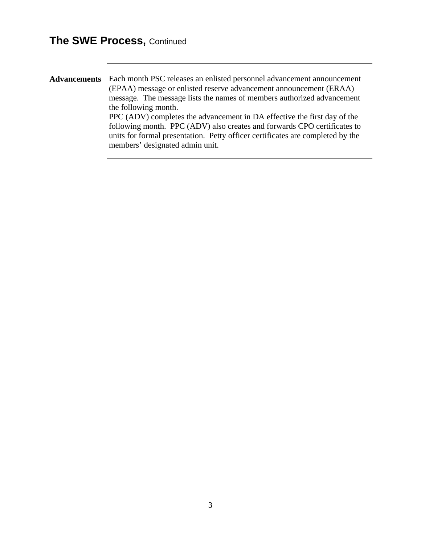**Advancements** Each month PSC releases an enlisted personnel advancement announcement (EPAA) message or enlisted reserve advancement announcement (ERAA) message. The message lists the names of members authorized advancement the following month. PPC (ADV) completes the advancement in DA effective the first day of the following month. PPC (ADV) also creates and forwards CPO certificates to units for formal presentation. Petty officer certificates are completed by the members' designated admin unit.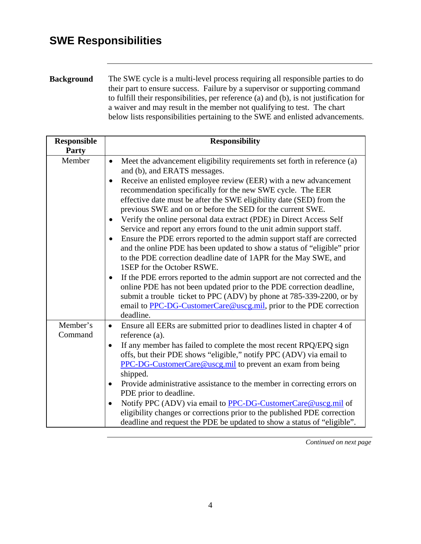### **SWE Responsibilities**

**Background** The SWE cycle is a multi-level process requiring all responsible parties to do their part to ensure success. Failure by a supervisor or supporting command to fulfill their responsibilities, per reference (a) and (b), is not justification for a waiver and may result in the member not qualifying to test. The chart below lists responsibilities pertaining to the SWE and enlisted advancements.

| <b>Responsible</b><br><b>Party</b> | <b>Responsibility</b>                                                                                                                                                                                                                                                                                                                                                                                                                                                                                                                                                                                                                                                                                                                                                                                                                                                                                                                                                                                                                                                                                                                            |
|------------------------------------|--------------------------------------------------------------------------------------------------------------------------------------------------------------------------------------------------------------------------------------------------------------------------------------------------------------------------------------------------------------------------------------------------------------------------------------------------------------------------------------------------------------------------------------------------------------------------------------------------------------------------------------------------------------------------------------------------------------------------------------------------------------------------------------------------------------------------------------------------------------------------------------------------------------------------------------------------------------------------------------------------------------------------------------------------------------------------------------------------------------------------------------------------|
| Member                             | Meet the advancement eligibility requirements set forth in reference (a)<br>$\bullet$<br>and (b), and ERATS messages.<br>Receive an enlisted employee review (EER) with a new advancement<br>$\bullet$<br>recommendation specifically for the new SWE cycle. The EER<br>effective date must be after the SWE eligibility date (SED) from the<br>previous SWE and on or before the SED for the current SWE.<br>Verify the online personal data extract (PDE) in Direct Access Self<br>Service and report any errors found to the unit admin support staff.<br>Ensure the PDE errors reported to the admin support staff are corrected<br>$\bullet$<br>and the online PDE has been updated to show a status of "eligible" prior<br>to the PDE correction deadline date of 1APR for the May SWE, and<br>1SEP for the October RSWE.<br>If the PDE errors reported to the admin support are not corrected and the<br>online PDE has not been updated prior to the PDE correction deadline,<br>submit a trouble ticket to PPC (ADV) by phone at 785-339-2200, or by<br>email to PPC-DG-CustomerCare@uscg.mil, prior to the PDE correction<br>deadline. |
| Member's<br>Command                | Ensure all EERs are submitted prior to deadlines listed in chapter 4 of<br>$\bullet$<br>reference (a).<br>If any member has failed to complete the most recent RPQ/EPQ sign<br>$\bullet$<br>offs, but their PDE shows "eligible," notify PPC (ADV) via email to<br><b>PPC-DG-CustomerCare@uscg.mil</b> to prevent an exam from being<br>shipped.<br>Provide administrative assistance to the member in correcting errors on<br>$\bullet$<br>PDE prior to deadline.<br>Notify PPC (ADV) via email to PPC-DG-CustomerCare@uscg.mil of<br>$\bullet$<br>eligibility changes or corrections prior to the published PDE correction<br>deadline and request the PDE be updated to show a status of "eligible".                                                                                                                                                                                                                                                                                                                                                                                                                                          |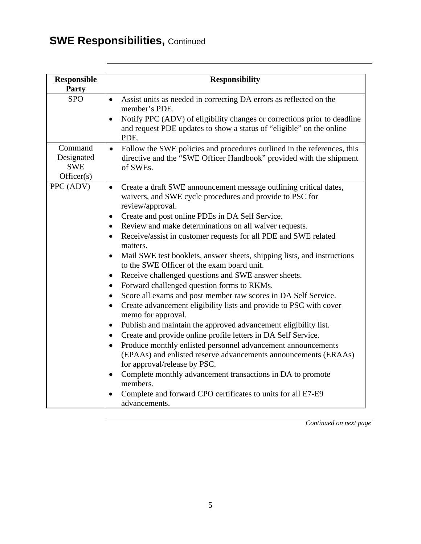# **SWE Responsibilities, Continued**

| <b>Responsible</b><br><b>Party</b>                | <b>Responsibility</b>                                                                                                                                                                                                                                                                                                                                                                                                                                                                                                                                                                                                                                                                                                                                                                                                                                                                                                                                                                                                                                                                                                                                                                                                                                                                                                         |
|---------------------------------------------------|-------------------------------------------------------------------------------------------------------------------------------------------------------------------------------------------------------------------------------------------------------------------------------------------------------------------------------------------------------------------------------------------------------------------------------------------------------------------------------------------------------------------------------------------------------------------------------------------------------------------------------------------------------------------------------------------------------------------------------------------------------------------------------------------------------------------------------------------------------------------------------------------------------------------------------------------------------------------------------------------------------------------------------------------------------------------------------------------------------------------------------------------------------------------------------------------------------------------------------------------------------------------------------------------------------------------------------|
| <b>SPO</b>                                        | Assist units as needed in correcting DA errors as reflected on the<br>$\bullet$<br>member's PDE.<br>Notify PPC (ADV) of eligibility changes or corrections prior to deadline<br>$\bullet$<br>and request PDE updates to show a status of "eligible" on the online<br>PDE.                                                                                                                                                                                                                                                                                                                                                                                                                                                                                                                                                                                                                                                                                                                                                                                                                                                                                                                                                                                                                                                     |
| Command<br>Designated<br><b>SWE</b><br>Officer(s) | Follow the SWE policies and procedures outlined in the references, this<br>$\bullet$<br>directive and the "SWE Officer Handbook" provided with the shipment<br>of SWEs.                                                                                                                                                                                                                                                                                                                                                                                                                                                                                                                                                                                                                                                                                                                                                                                                                                                                                                                                                                                                                                                                                                                                                       |
| PPC (ADV)                                         | Create a draft SWE announcement message outlining critical dates,<br>$\bullet$<br>waivers, and SWE cycle procedures and provide to PSC for<br>review/approval.<br>Create and post online PDEs in DA Self Service.<br>٠<br>Review and make determinations on all waiver requests.<br>$\bullet$<br>Receive/assist in customer requests for all PDE and SWE related<br>$\bullet$<br>matters.<br>Mail SWE test booklets, answer sheets, shipping lists, and instructions<br>$\bullet$<br>to the SWE Officer of the exam board unit.<br>Receive challenged questions and SWE answer sheets.<br>$\bullet$<br>Forward challenged question forms to RKMs.<br>Score all exams and post member raw scores in DA Self Service.<br>$\bullet$<br>Create advancement eligibility lists and provide to PSC with cover<br>$\bullet$<br>memo for approval.<br>Publish and maintain the approved advancement eligibility list.<br>٠<br>Create and provide online profile letters in DA Self Service.<br>Produce monthly enlisted personnel advancement announcements<br>(EPAAs) and enlisted reserve advancements announcements (ERAAs)<br>for approval/release by PSC.<br>Complete monthly advancement transactions in DA to promote<br>$\bullet$<br>members.<br>Complete and forward CPO certificates to units for all E7-E9<br>advancements. |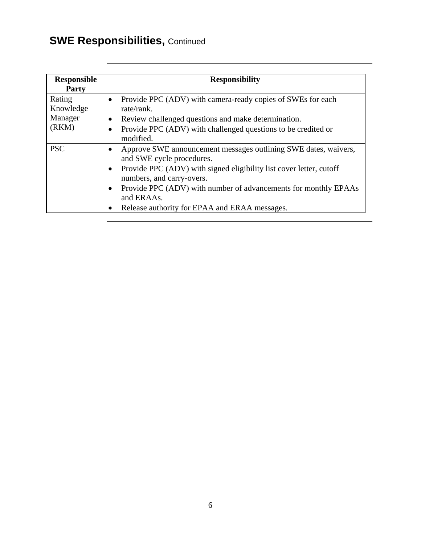# **SWE Responsibilities, Continued**

| <b>Responsible</b><br><b>Party</b>      | <b>Responsibility</b>                                                                                                                                                                                                                                                                                                              |
|-----------------------------------------|------------------------------------------------------------------------------------------------------------------------------------------------------------------------------------------------------------------------------------------------------------------------------------------------------------------------------------|
| Rating<br>Knowledge<br>Manager<br>(RKM) | Provide PPC (ADV) with camera-ready copies of SWEs for each<br>rate/rank.<br>Review challenged questions and make determination.<br>Provide PPC (ADV) with challenged questions to be credited or<br>modified.                                                                                                                     |
| <b>PSC</b>                              | Approve SWE announcement messages outlining SWE dates, waivers,<br>and SWE cycle procedures.<br>Provide PPC (ADV) with signed eligibility list cover letter, cutoff<br>numbers, and carry-overs.<br>Provide PPC (ADV) with number of advancements for monthly EPAAs<br>and ERAAs.<br>Release authority for EPAA and ERAA messages. |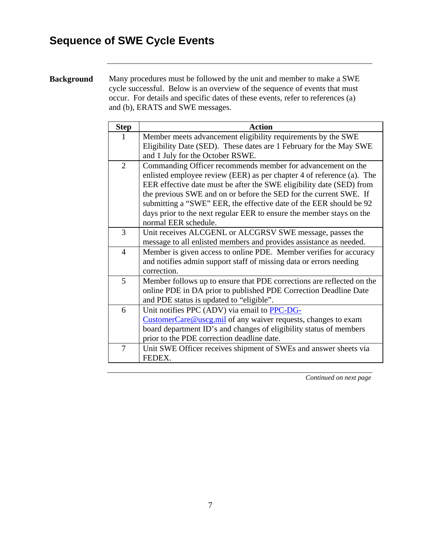# **Sequence of SWE Cycle Events**

#### **Background** Many procedures must be followed by the unit and member to make a SWE cycle successful. Below is an overview of the sequence of events that must occur. For details and specific dates of these events, refer to references (a) and (b), ERATS and SWE messages.

|                | <b>Action</b>                                                         |
|----------------|-----------------------------------------------------------------------|
| <b>Step</b>    |                                                                       |
| 1              | Member meets advancement eligibility requirements by the SWE          |
|                | Eligibility Date (SED). These dates are 1 February for the May SWE    |
|                | and 1 July for the October RSWE.                                      |
| $\overline{2}$ | Commanding Officer recommends member for advancement on the           |
|                | enlisted employee review (EER) as per chapter 4 of reference (a). The |
|                | EER effective date must be after the SWE eligibility date (SED) from  |
|                | the previous SWE and on or before the SED for the current SWE. If     |
|                | submitting a "SWE" EER, the effective date of the EER should be 92    |
|                | days prior to the next regular EER to ensure the member stays on the  |
|                | normal EER schedule.                                                  |
| 3              | Unit receives ALCGENL or ALCGRSV SWE message, passes the              |
|                | message to all enlisted members and provides assistance as needed.    |
| $\overline{4}$ | Member is given access to online PDE. Member verifies for accuracy    |
|                | and notifies admin support staff of missing data or errors needing    |
|                | correction.                                                           |
| $\mathfrak{S}$ | Member follows up to ensure that PDE corrections are reflected on the |
|                | online PDE in DA prior to published PDE Correction Deadline Date      |
|                | and PDE status is updated to "eligible".                              |
| 6              | Unit notifies PPC (ADV) via email to PPC-DG-                          |
|                | CustomerCare@uscg.mil of any waiver requests, changes to exam         |
|                | board department ID's and changes of eligibility status of members    |
|                | prior to the PDE correction deadline date.                            |
| $\overline{7}$ | Unit SWE Officer receives shipment of SWEs and answer sheets via      |
|                | FEDEX.                                                                |
|                |                                                                       |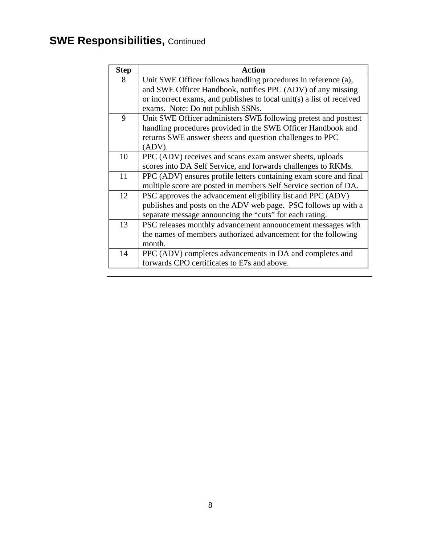# **SWE Responsibilities, Continued**

| <b>Step</b> | <b>Action</b>                                                         |
|-------------|-----------------------------------------------------------------------|
| 8           | Unit SWE Officer follows handling procedures in reference (a),        |
|             | and SWE Officer Handbook, notifies PPC (ADV) of any missing           |
|             | or incorrect exams, and publishes to local unit(s) a list of received |
|             | exams. Note: Do not publish SSNs.                                     |
| 9           | Unit SWE Officer administers SWE following pretest and posttest       |
|             | handling procedures provided in the SWE Officer Handbook and          |
|             | returns SWE answer sheets and question challenges to PPC              |
|             | $(ADV)$ .                                                             |
| 10          | PPC (ADV) receives and scans exam answer sheets, uploads              |
|             | scores into DA Self Service, and forwards challenges to RKMs.         |
| 11          | PPC (ADV) ensures profile letters containing exam score and final     |
|             | multiple score are posted in members Self Service section of DA.      |
| 12          | PSC approves the advancement eligibility list and PPC (ADV)           |
|             | publishes and posts on the ADV web page. PSC follows up with a        |
|             | separate message announcing the "cuts" for each rating.               |
| 13          | PSC releases monthly advancement announcement messages with           |
|             | the names of members authorized advancement for the following         |
|             | month.                                                                |
| 14          | PPC (ADV) completes advancements in DA and completes and              |
|             | forwards CPO certificates to E7s and above.                           |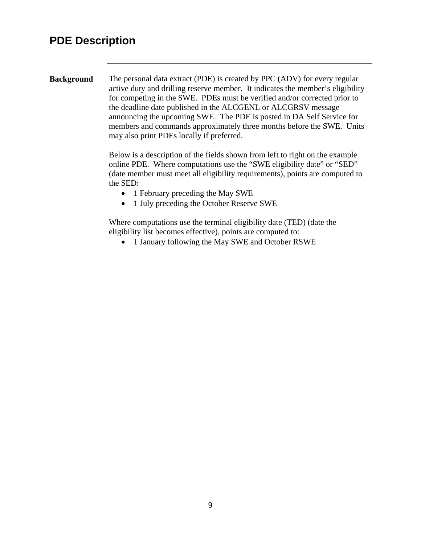### **PDE Description**

**Background** The personal data extract (PDE) is created by PPC (ADV) for every regular active duty and drilling reserve member. It indicates the member's eligibility for competing in the SWE. PDEs must be verified and/or corrected prior to the deadline date published in the ALCGENL or ALCGRSV message announcing the upcoming SWE. The PDE is posted in DA Self Service for members and commands approximately three months before the SWE. Units may also print PDEs locally if preferred.

> Below is a description of the fields shown from left to right on the example online PDE. Where computations use the "SWE eligibility date" or "SED" (date member must meet all eligibility requirements), points are computed to the SED:

- 1 February preceding the May SWE
- 1 July preceding the October Reserve SWE

Where computations use the terminal eligibility date (TED) (date the eligibility list becomes effective), points are computed to:

• 1 January following the May SWE and October RSWE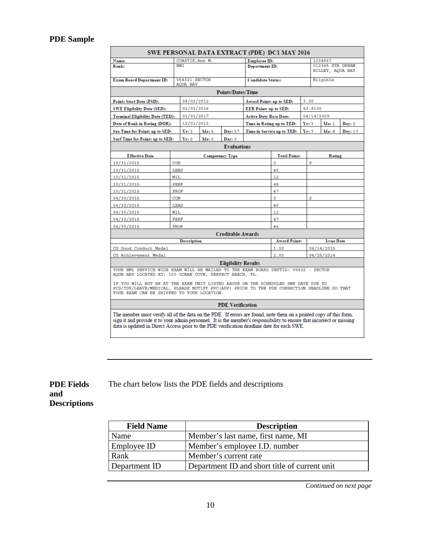#### **PDE Sample**

| SWE PERSONAL DATA EXTRACT (PDE) DC1 MAY 2016                                                                                                                                                                                                                                                                                             |             |                           |                        |                            |                               |                                 |      |                                      |         |  |
|------------------------------------------------------------------------------------------------------------------------------------------------------------------------------------------------------------------------------------------------------------------------------------------------------------------------------------------|-------------|---------------------------|------------------------|----------------------------|-------------------------------|---------------------------------|------|--------------------------------------|---------|--|
| Name:                                                                                                                                                                                                                                                                                                                                    |             | COASTIE, Ann M.           |                        |                            | <b>Employee ID:</b>           |                                 |      | 1234567                              |         |  |
| Rank:                                                                                                                                                                                                                                                                                                                                    |             | RM <sub>2</sub>           |                        |                            | <b>Department ID:</b>         |                                 |      | 012345 STA DREAM<br>BILLET, AQUA BAY |         |  |
| Exam Board Department ID:                                                                                                                                                                                                                                                                                                                |             | 054321 SECTOR<br>AQUA BAY |                        |                            | <b>Candidate Status:</b>      |                                 |      | Eligible                             |         |  |
|                                                                                                                                                                                                                                                                                                                                          |             |                           |                        | <b>Points/Dates/Time</b>   |                               |                                 |      |                                      |         |  |
| <b>Points Start Date (PSD):</b>                                                                                                                                                                                                                                                                                                          |             | 08/02/2012                |                        |                            |                               | 3.00<br>Award Points up to SED: |      |                                      |         |  |
| <b>SWE Eligibility Date (SED):</b>                                                                                                                                                                                                                                                                                                       |             | 02/01/2016                |                        |                            | <b>EER Points up to SED:</b>  |                                 |      | 43.9100                              |         |  |
| <b>Terminal Eligibility Date (TED):</b>                                                                                                                                                                                                                                                                                                  |             | 01/01/2017                |                        |                            | <b>Active Duty Base Date:</b> |                                 |      | 04/14/2009                           |         |  |
| Date of Rank in Rating (DOR):                                                                                                                                                                                                                                                                                                            |             | 12/01/2013                |                        |                            |                               | Time in Rating up to TED:       | Yr:3 | M <sub>0</sub> : 1                   | Day: 0  |  |
| Sea Time for Points up to SED:                                                                                                                                                                                                                                                                                                           |             | Yr:3                      | Mo: 5                  | Day: 17                    |                               | Time in Service up to TED:      | Yr:7 | Mo: 8                                | Day: 17 |  |
| Surf Time for Points up to SED:                                                                                                                                                                                                                                                                                                          |             | Yr: 0                     | Mo: 0                  | Day: 0                     |                               |                                 |      |                                      |         |  |
|                                                                                                                                                                                                                                                                                                                                          |             |                           |                        | <b>Evaluations</b>         |                               |                                 |      |                                      |         |  |
| <b>Effective Date</b>                                                                                                                                                                                                                                                                                                                    |             |                           | <b>Competency Type</b> |                            |                               | <b>Total Points</b>             |      | Rating                               |         |  |
| 10/31/2015                                                                                                                                                                                                                                                                                                                               | CON         |                           |                        |                            |                               | $\mathbf{0}$                    | s    |                                      |         |  |
| 10/31/2015                                                                                                                                                                                                                                                                                                                               | LEAD        |                           |                        |                            |                               | 40                              |      |                                      |         |  |
| 10/31/2015                                                                                                                                                                                                                                                                                                                               | MIL         |                           |                        |                            |                               | 12                              |      |                                      |         |  |
| 10/31/2015                                                                                                                                                                                                                                                                                                                               | <b>PERF</b> |                           |                        |                            |                               | 48                              |      |                                      |         |  |
| 10/31/2015                                                                                                                                                                                                                                                                                                                               | PROF        |                           |                        |                            |                               | 47                              |      |                                      |         |  |
| 04/30/2015                                                                                                                                                                                                                                                                                                                               | CON         |                           |                        |                            |                               | $\mathbf 0$                     | s    |                                      |         |  |
| 04/30/2015                                                                                                                                                                                                                                                                                                                               | LEAD        |                           |                        |                            |                               | 40                              |      |                                      |         |  |
| 04/30/2015                                                                                                                                                                                                                                                                                                                               | MIL         |                           |                        |                            |                               | 12                              |      |                                      |         |  |
| 04/30/2015                                                                                                                                                                                                                                                                                                                               |             | PERF                      |                        |                            |                               | 47                              |      |                                      |         |  |
| 04/30/2015                                                                                                                                                                                                                                                                                                                               | 46<br>PROF  |                           |                        |                            |                               |                                 |      |                                      |         |  |
|                                                                                                                                                                                                                                                                                                                                          |             |                           |                        | <b>Creditable Awards</b>   |                               |                                 |      |                                      |         |  |
|                                                                                                                                                                                                                                                                                                                                          |             | <b>Description</b>        |                        |                            |                               | <b>Award Points</b>             |      | <b>Issue Date</b>                    |         |  |
| CG Good Conduct Medal                                                                                                                                                                                                                                                                                                                    |             |                           |                        |                            |                               | 1.00                            |      | 04/14/2015                           |         |  |
| CG Achievement Medal                                                                                                                                                                                                                                                                                                                     |             |                           |                        |                            |                               | 2.00                            |      | 04/25/2014                           |         |  |
|                                                                                                                                                                                                                                                                                                                                          |             |                           |                        | <b>Eligibility Results</b> |                               |                                 |      |                                      |         |  |
| YOUR BM1 SERVICE WIDE EXAM WILL BE MAILED TO THE EXAM BOARD DEPTID: 05432 - SECTOR<br>AQUA BAY LOCATED AT: 100 OCEAN COVE, PERFECT BEACH, FL.                                                                                                                                                                                            |             |                           |                        |                            |                               |                                 |      |                                      |         |  |
| IF YOU WILL NOT BE AT THE EXAM UNIT LISTED ABOVE ON THE SCHEDULED SWE DATE DUE TO<br>PCS/TDY/LEAVE/MEDICAL, PLEASE NOTIFY PPC(ADV) PRIOR TO THE PDE CORRECTION DEADLINE SO THAT<br>YOUR EXAM CAN BE SHIPPED TO YOUR LOCATION.                                                                                                            |             |                           |                        |                            |                               |                                 |      |                                      |         |  |
| <b>PDE Verification</b>                                                                                                                                                                                                                                                                                                                  |             |                           |                        |                            |                               |                                 |      |                                      |         |  |
| The member must verify all of the data on the PDE. If errors are found, note them on a printed copy of this form,<br>sign it and provide it to your admin personnel. It is the member's responsibility to ensure that incorrect or missing<br>data is updated in Direct Access prior to the PDE verification deadline date for each SWE. |             |                           |                        |                            |                               |                                 |      |                                      |         |  |

**PDE Fields and Descriptions** The chart below lists the PDE fields and descriptions

| <b>Field Name</b> | <b>Description</b>                            |
|-------------------|-----------------------------------------------|
| Name              | Member's last name, first name, MI            |
| Employee ID       | Member's employee I.D. number                 |
| Rank              | Member's current rate                         |
| Department ID     | Department ID and short title of current unit |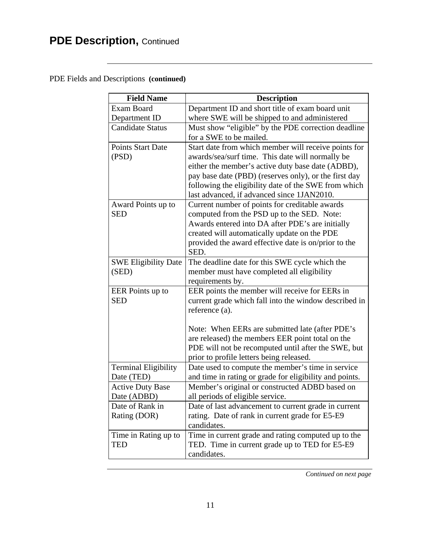# **PDE Description, Continued**

#### PDE Fields and Descriptions **(continued)**

| <b>Field Name</b>           | <b>Description</b>                                      |
|-----------------------------|---------------------------------------------------------|
| <b>Exam Board</b>           | Department ID and short title of exam board unit        |
| Department ID               | where SWE will be shipped to and administered           |
| <b>Candidate Status</b>     | Must show "eligible" by the PDE correction deadline     |
|                             | for a SWE to be mailed.                                 |
| Points Start Date           | Start date from which member will receive points for    |
| (PSD)                       | awards/sea/surf time. This date will normally be        |
|                             | either the member's active duty base date (ADBD),       |
|                             | pay base date (PBD) (reserves only), or the first day   |
|                             | following the eligibility date of the SWE from which    |
|                             | last advanced, if advanced since 1JAN2010.              |
| Award Points up to          | Current number of points for creditable awards          |
| <b>SED</b>                  | computed from the PSD up to the SED. Note:              |
|                             | Awards entered into DA after PDE's are initially        |
|                             | created will automatically update on the PDE            |
|                             | provided the award effective date is on/prior to the    |
|                             | SED.                                                    |
| <b>SWE Eligibility Date</b> | The deadline date for this SWE cycle which the          |
| (SED)                       | member must have completed all eligibility              |
|                             | requirements by.                                        |
| EER Points up to            | EER points the member will receive for EERs in          |
| <b>SED</b>                  | current grade which fall into the window described in   |
|                             | reference (a).                                          |
|                             |                                                         |
|                             | Note: When EERs are submitted late (after PDE's         |
|                             | are released) the members EER point total on the        |
|                             | PDE will not be recomputed until after the SWE, but     |
|                             | prior to profile letters being released.                |
| <b>Terminal Eligibility</b> | Date used to compute the member's time in service       |
| Date (TED)                  | and time in rating or grade for eligibility and points. |
| <b>Active Duty Base</b>     | Member's original or constructed ADBD based on          |
| Date (ADBD)                 | all periods of eligible service.                        |
| Date of Rank in             | Date of last advancement to current grade in current    |
| Rating (DOR)                | rating. Date of rank in current grade for E5-E9         |
|                             | candidates.                                             |
| Time in Rating up to        | Time in current grade and rating computed up to the     |
| TED                         | TED. Time in current grade up to TED for E5-E9          |
|                             | candidates.                                             |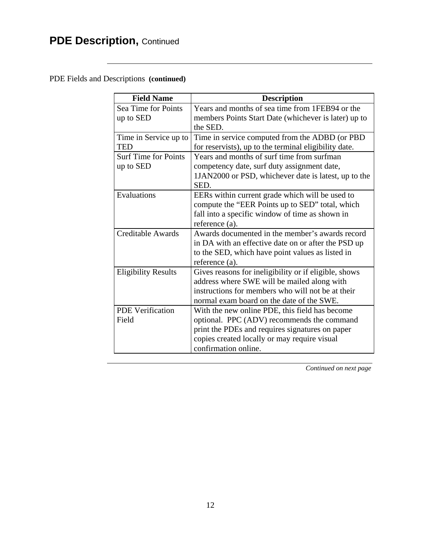# **PDE Description, Continued**

#### PDE Fields and Descriptions **(continued)**

| <b>Field Name</b>           | <b>Description</b>                                    |
|-----------------------------|-------------------------------------------------------|
| Sea Time for Points         | Years and months of sea time from 1FEB94 or the       |
| up to SED                   | members Points Start Date (whichever is later) up to  |
|                             | the SED.                                              |
| Time in Service up to       | Time in service computed from the ADBD (or PBD        |
| TED                         | for reservists), up to the terminal eligibility date. |
| <b>Surf Time for Points</b> | Years and months of surf time from surfman            |
| up to SED                   | competency date, surf duty assignment date,           |
|                             | 1JAN2000 or PSD, whichever date is latest, up to the  |
|                             | SED.                                                  |
| Evaluations                 | EERs within current grade which will be used to       |
|                             | compute the "EER Points up to SED" total, which       |
|                             | fall into a specific window of time as shown in       |
|                             | reference (a).                                        |
| Creditable Awards           | Awards documented in the member's awards record       |
|                             | in DA with an effective date on or after the PSD up   |
|                             | to the SED, which have point values as listed in      |
|                             | reference (a).                                        |
| <b>Eligibility Results</b>  | Gives reasons for ineligibility or if eligible, shows |
|                             | address where SWE will be mailed along with           |
|                             | instructions for members who will not be at their     |
|                             | normal exam board on the date of the SWE.             |
| <b>PDE Verification</b>     | With the new online PDE, this field has become        |
| Field                       | optional. PPC (ADV) recommends the command            |
|                             | print the PDEs and requires signatures on paper       |
|                             | copies created locally or may require visual          |
|                             | confirmation online.                                  |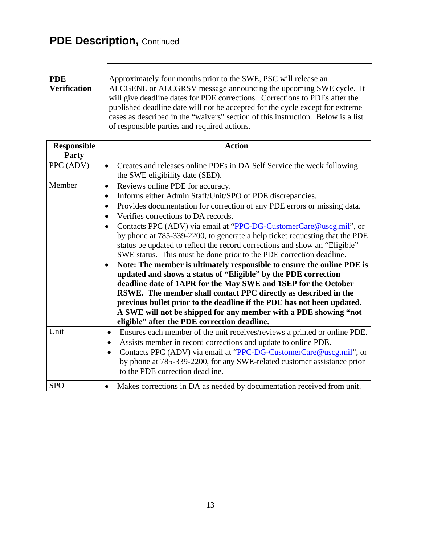### **PDE Description, Continued**

**PDE Verification** Approximately four months prior to the SWE, PSC will release an ALCGENL or ALCGRSV message announcing the upcoming SWE cycle. It will give deadline dates for PDE corrections. Corrections to PDEs after the published deadline date will not be accepted for the cycle except for extreme cases as described in the "waivers" section of this instruction. Below is a list of responsible parties and required actions.

| <b>Responsible</b><br><b>Party</b> | <b>Action</b>                                                                                                                                                                                                                                                                                                                                                                                                                                                                                                                                                                                                                                                                                                                                                                                                                                                                                                                                                                                                                                                              |
|------------------------------------|----------------------------------------------------------------------------------------------------------------------------------------------------------------------------------------------------------------------------------------------------------------------------------------------------------------------------------------------------------------------------------------------------------------------------------------------------------------------------------------------------------------------------------------------------------------------------------------------------------------------------------------------------------------------------------------------------------------------------------------------------------------------------------------------------------------------------------------------------------------------------------------------------------------------------------------------------------------------------------------------------------------------------------------------------------------------------|
| PPC (ADV)                          | Creates and releases online PDEs in DA Self Service the week following<br>$\bullet$<br>the SWE eligibility date (SED).                                                                                                                                                                                                                                                                                                                                                                                                                                                                                                                                                                                                                                                                                                                                                                                                                                                                                                                                                     |
| Member                             | Reviews online PDE for accuracy.<br>$\bullet$<br>Informs either Admin Staff/Unit/SPO of PDE discrepancies.<br>$\bullet$<br>Provides documentation for correction of any PDE errors or missing data.<br>$\bullet$<br>Verifies corrections to DA records.<br>$\bullet$<br>Contacts PPC (ADV) via email at "PPC-DG-CustomerCare@uscg.mil", or<br>by phone at 785-339-2200, to generate a help ticket requesting that the PDE<br>status be updated to reflect the record corrections and show an "Eligible"<br>SWE status. This must be done prior to the PDE correction deadline.<br>Note: The member is ultimately responsible to ensure the online PDE is<br>$\bullet$<br>updated and shows a status of "Eligible" by the PDE correction<br>deadline date of 1APR for the May SWE and 1SEP for the October<br>RSWE. The member shall contact PPC directly as described in the<br>previous bullet prior to the deadline if the PDE has not been updated.<br>A SWE will not be shipped for any member with a PDE showing "not<br>eligible" after the PDE correction deadline. |
| Unit                               | Ensures each member of the unit receives/reviews a printed or online PDE.<br>$\bullet$<br>Assists member in record corrections and update to online PDE.<br>$\bullet$<br>Contacts PPC (ADV) via email at "PPC-DG-CustomerCare@uscg.mil", or<br>$\bullet$<br>by phone at 785-339-2200, for any SWE-related customer assistance prior<br>to the PDE correction deadline.                                                                                                                                                                                                                                                                                                                                                                                                                                                                                                                                                                                                                                                                                                     |
| <b>SPO</b>                         | Makes corrections in DA as needed by documentation received from unit.                                                                                                                                                                                                                                                                                                                                                                                                                                                                                                                                                                                                                                                                                                                                                                                                                                                                                                                                                                                                     |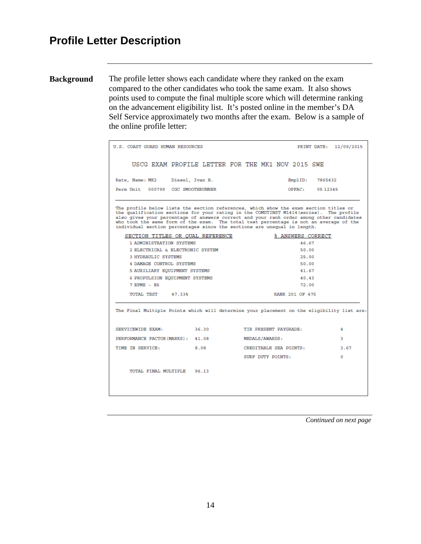**Background** The profile letter shows each candidate where they ranked on the exam compared to the other candidates who took the same exam. It also shows points used to compute the final multiple score which will determine ranking on the advancement eligibility list. It's posted online in the member's DA Self Service approximately two months after the exam. Below is a sample of the online profile letter:

| U.S. COAST GUARD HUMAN RESOURCES                                                                                                                                                                                                                                                                                                                                                                                                                  |  |                       |  |  |                        |                   | PRINT DATE: 12/09/2015 |
|---------------------------------------------------------------------------------------------------------------------------------------------------------------------------------------------------------------------------------------------------------------------------------------------------------------------------------------------------------------------------------------------------------------------------------------------------|--|-----------------------|--|--|------------------------|-------------------|------------------------|
| USCG EXAM PROFILE LETTER FOR THE MK1 NOV 2015 SWE                                                                                                                                                                                                                                                                                                                                                                                                 |  |                       |  |  |                        |                   |                        |
| Rate, Name: MK2 Diesel, Ivan B.                                                                                                                                                                                                                                                                                                                                                                                                                   |  |                       |  |  | Emp1ID:                | 7865432           |                        |
| Perm Unit 000799 CGC SMOOTHRUNNER                                                                                                                                                                                                                                                                                                                                                                                                                 |  |                       |  |  | OPFAC:                 | 05 12345          |                        |
| The profile below lists the section references, which show the exam section titles or<br>the qualification sections for your rating in the COMDTINST M1414(series). The profile<br>also gives your percentage of answers correct and your rank order among other candidates<br>who took the same form of the exam. The total test percentage is not an average of the<br>individual section percentages since the sections are unequal in length. |  |                       |  |  |                        |                   |                        |
| SECTION TITLES OR QUAL REFERENCE                                                                                                                                                                                                                                                                                                                                                                                                                  |  |                       |  |  |                        | % ANSWERS CORRECT |                        |
| 1 ADMINISTRATION SYSTEMS                                                                                                                                                                                                                                                                                                                                                                                                                          |  |                       |  |  | 46.67                  |                   |                        |
| 2 ELECTRICAL & ELECTRONIC SYSTEM<br><b>3 HYDRAULIC SYSTEMS</b>                                                                                                                                                                                                                                                                                                                                                                                    |  | 50.00                 |  |  |                        |                   |                        |
| 4 DAMAGE CONTROL SYSTEMS                                                                                                                                                                                                                                                                                                                                                                                                                          |  | 25.00<br>50.00        |  |  |                        |                   |                        |
| 5 AUXILIARY EQUIPMENT SYSTEMS                                                                                                                                                                                                                                                                                                                                                                                                                     |  | 41.67                 |  |  |                        |                   |                        |
| 6 PROPULSION EQUIPMENT SYSTEMS                                                                                                                                                                                                                                                                                                                                                                                                                    |  | 40.43                 |  |  |                        |                   |                        |
| 7 EPME - E6                                                                                                                                                                                                                                                                                                                                                                                                                                       |  | 72.00                 |  |  |                        |                   |                        |
| TOTAL TEST 47.33%                                                                                                                                                                                                                                                                                                                                                                                                                                 |  |                       |  |  | RANK 201 OF 475        |                   |                        |
| The Final Multiple Points which will determine your placement on the eligibility list are:                                                                                                                                                                                                                                                                                                                                                        |  |                       |  |  |                        |                   |                        |
| SERVICEWIDE EXAM: 36.30                                                                                                                                                                                                                                                                                                                                                                                                                           |  | TIR PRESENT PAYGRADE: |  |  |                        |                   | 4                      |
| PERFORMANCE FACTOR (MARKS): 41.08                                                                                                                                                                                                                                                                                                                                                                                                                 |  | MEDALS/AWARDS:        |  |  |                        |                   | 3                      |
| TIME IN SERVICE:<br>8.08                                                                                                                                                                                                                                                                                                                                                                                                                          |  |                       |  |  | CREDITABLE SEA POINTS: |                   | 3.67                   |
|                                                                                                                                                                                                                                                                                                                                                                                                                                                   |  | SURF DUTY POINTS:     |  |  |                        |                   | $\Omega$               |
| TOTAL FINAL MULTIPLE 96.13                                                                                                                                                                                                                                                                                                                                                                                                                        |  |                       |  |  |                        |                   |                        |
|                                                                                                                                                                                                                                                                                                                                                                                                                                                   |  |                       |  |  |                        |                   |                        |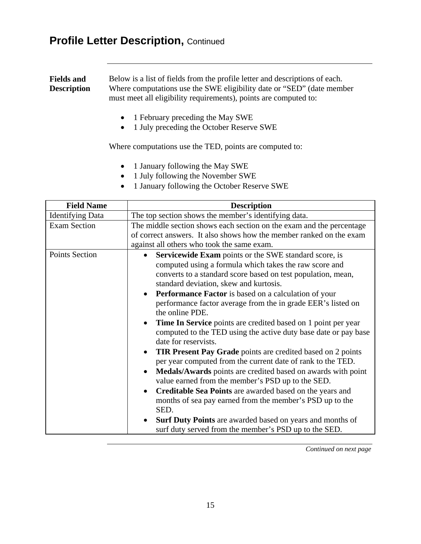### **Profile Letter Description, Continued**

**Fields and Description** Below is a list of fields from the profile letter and descriptions of each. Where computations use the SWE eligibility date or "SED" (date member must meet all eligibility requirements), points are computed to:

- 1 February preceding the May SWE
- 1 July preceding the October Reserve SWE

Where computations use the TED, points are computed to:

- 1 January following the May SWE
- 1 July following the November SWE
- 1 January following the October Reserve SWE

| <b>Field Name</b>       | <b>Description</b>                                                                                                             |  |  |
|-------------------------|--------------------------------------------------------------------------------------------------------------------------------|--|--|
| <b>Identifying Data</b> | The top section shows the member's identifying data.                                                                           |  |  |
| <b>Exam Section</b>     | The middle section shows each section on the exam and the percentage                                                           |  |  |
|                         | of correct answers. It also shows how the member ranked on the exam                                                            |  |  |
|                         | against all others who took the same exam.                                                                                     |  |  |
| <b>Points Section</b>   | Servicewide Exam points or the SWE standard score, is                                                                          |  |  |
|                         | computed using a formula which takes the raw score and                                                                         |  |  |
|                         | converts to a standard score based on test population, mean,                                                                   |  |  |
|                         | standard deviation, skew and kurtosis.                                                                                         |  |  |
|                         | <b>Performance Factor</b> is based on a calculation of your<br>$\bullet$                                                       |  |  |
|                         | performance factor average from the in grade EER's listed on                                                                   |  |  |
|                         | the online PDE.                                                                                                                |  |  |
|                         | <b>Time In Service</b> points are credited based on 1 point per year<br>$\bullet$                                              |  |  |
|                         | computed to the TED using the active duty base date or pay base                                                                |  |  |
|                         | date for reservists.                                                                                                           |  |  |
|                         | <b>TIR Present Pay Grade</b> points are credited based on 2 points                                                             |  |  |
|                         | per year computed from the current date of rank to the TED.                                                                    |  |  |
|                         | Medals/Awards points are credited based on awards with point<br>$\bullet$<br>value earned from the member's PSD up to the SED. |  |  |
|                         | Creditable Sea Points are awarded based on the years and<br>$\bullet$                                                          |  |  |
|                         | months of sea pay earned from the member's PSD up to the                                                                       |  |  |
|                         | SED.                                                                                                                           |  |  |
|                         | <b>Surf Duty Points</b> are awarded based on years and months of<br>$\bullet$                                                  |  |  |
|                         | surf duty served from the member's PSD up to the SED.                                                                          |  |  |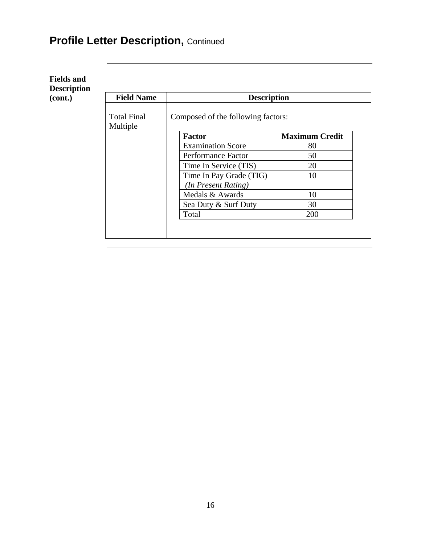# **Profile Letter Description, Continued**

| (cont.) | <b>Field Name</b>              | <b>Description</b>                 |                       |
|---------|--------------------------------|------------------------------------|-----------------------|
|         | <b>Total Final</b><br>Multiple | Composed of the following factors: |                       |
|         |                                | <b>Factor</b>                      | <b>Maximum Credit</b> |
|         |                                | <b>Examination Score</b>           | 80                    |
|         |                                | Performance Factor                 | 50                    |
|         |                                | Time In Service (TIS)              | 20                    |
|         |                                | Time In Pay Grade (TIG)            | 10                    |
|         |                                | (In Present Rating)                |                       |
|         |                                | Medals & Awards                    | 10                    |
|         |                                | Sea Duty & Surf Duty               | 30                    |
|         |                                | Total                              | 200                   |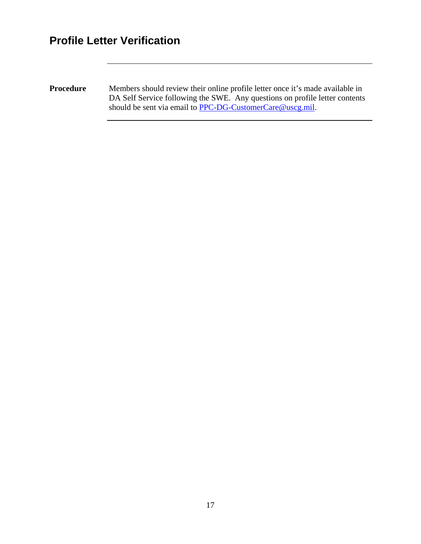# **Profile Letter Verification**

**Procedure** Members should review their online profile letter once it's made available in DA Self Service following the SWE. Any questions on profile letter contents should be sent via email to [PPC-DG-CustomerCare@uscg.mil.](mailto:PPC-DG-CustomerCare@uscg.mil)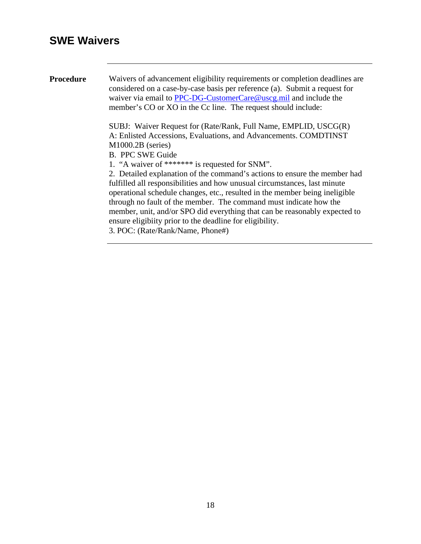### **SWE Waivers**

**Procedure** Waivers of advancement eligibility requirements or completion deadlines are considered on a case-by-case basis per reference (a). Submit a request for waiver via email to **PPC-DG-CustomerCare@uscg.mil** and include the member's CO or XO in the Cc line. The request should include: SUBJ: Waiver Request for (Rate/Rank, Full Name, EMPLID, USCG(R) A: Enlisted Accessions, Evaluations, and Advancements. COMDTINST M1000.2B (series) B. PPC SWE Guide 1. "A waiver of \*\*\*\*\*\*\* is requested for SNM". 2. Detailed explanation of the command's actions to ensure the member had fulfilled all responsibilities and how unusual circumstances, last minute operational schedule changes, etc., resulted in the member being ineligible through no fault of the member. The command must indicate how the member, unit, and/or SPO did everything that can be reasonably expected to ensure eligibiity prior to the deadline for eligibility. 3. POC: (Rate/Rank/Name, Phone#)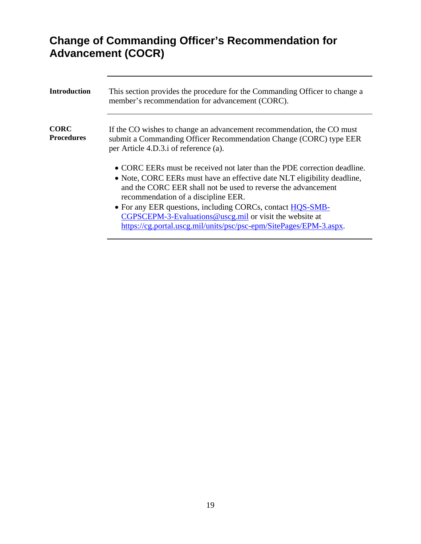# **Change of Commanding Officer's Recommendation for Advancement (COCR)**

| <b>Introduction</b>              | This section provides the procedure for the Commanding Officer to change a<br>member's recommendation for advancement (CORC).                                                                                                                                                                                                                                                                                                                              |
|----------------------------------|------------------------------------------------------------------------------------------------------------------------------------------------------------------------------------------------------------------------------------------------------------------------------------------------------------------------------------------------------------------------------------------------------------------------------------------------------------|
| <b>CORC</b><br><b>Procedures</b> | If the CO wishes to change an advancement recommendation, the CO must<br>submit a Commanding Officer Recommendation Change (CORC) type EER<br>per Article 4.D.3.i of reference (a).                                                                                                                                                                                                                                                                        |
|                                  | • CORC EERs must be received not later than the PDE correction deadline.<br>• Note, CORC EERs must have an effective date NLT eligibility deadline,<br>and the CORC EER shall not be used to reverse the advancement<br>recommendation of a discipline EER.<br>• For any EER questions, including CORCs, contact HQS-SMB-<br>CGPSCEPM-3-Evaluations@uscg.mil or visit the website at<br>https://cg.portal.uscg.mil/units/psc/psc-epm/SitePages/EPM-3.aspx. |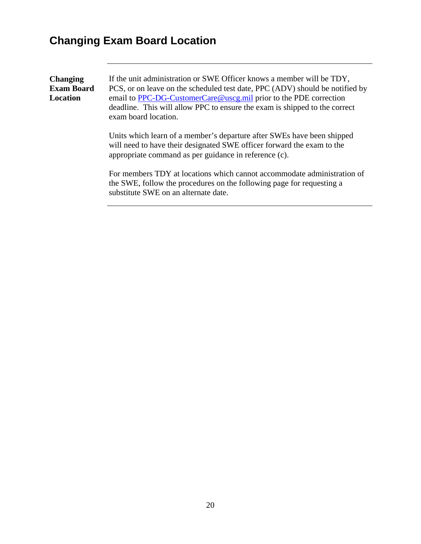# **Changing Exam Board Location**

| <b>Changing</b>   | If the unit administration or SWE Officer knows a member will be TDY,                                                                                                                                     |
|-------------------|-----------------------------------------------------------------------------------------------------------------------------------------------------------------------------------------------------------|
| <b>Exam Board</b> | PCS, or on leave on the scheduled test date, PPC (ADV) should be notified by                                                                                                                              |
| Location          | email to PPC-DG-CustomerCare@uscg.mil prior to the PDE correction<br>deadline. This will allow PPC to ensure the exam is shipped to the correct<br>exam board location.                                   |
|                   | Units which learn of a member's departure after SWEs have been shipped<br>will need to have their designated SWE officer forward the exam to the<br>appropriate command as per guidance in reference (c). |
|                   | For members TDY at locations which cannot accommodate administration of<br>the SWE, follow the procedures on the following page for requesting a<br>substitute SWE on an alternate date.                  |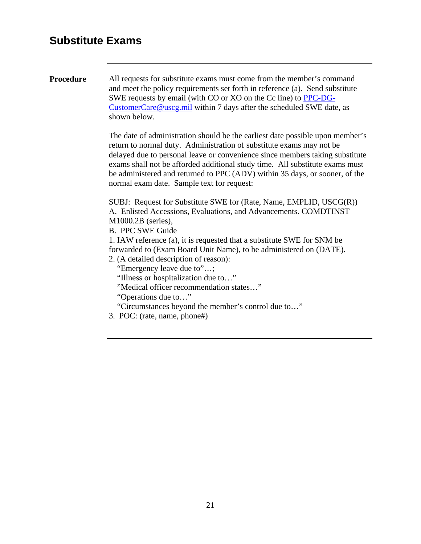### **Substitute Exams**

**Procedure** All requests for substitute exams must come from the member's command and meet the policy requirements set forth in reference (a). Send substitute SWE requests by email (with CO or XO on the Cc line) to [PPC-DG-](mailto:PPC-DG-CustomerCare@uscg.mil)[CustomerCare@uscg.mil](mailto:PPC-DG-CustomerCare@uscg.mil) within 7 days after the scheduled SWE date, as shown below.

> The date of administration should be the earliest date possible upon member's return to normal duty. Administration of substitute exams may not be delayed due to personal leave or convenience since members taking substitute exams shall not be afforded additional study time. All substitute exams must be administered and returned to PPC (ADV) within 35 days, or sooner, of the normal exam date. Sample text for request:

SUBJ: Request for Substitute SWE for (Rate, Name, EMPLID, USCG(R)) A. Enlisted Accessions, Evaluations, and Advancements. COMDTINST M1000.2B (series),

B. PPC SWE Guide

1. IAW reference (a), it is requested that a substitute SWE for SNM be forwarded to (Exam Board Unit Name), to be administered on (DATE).

2. (A detailed description of reason):

"Emergency leave due to"…;

"Illness or hospitalization due to…"

"Medical officer recommendation states…"

"Operations due to…"

"Circumstances beyond the member's control due to…"

3. POC: (rate, name, phone#)